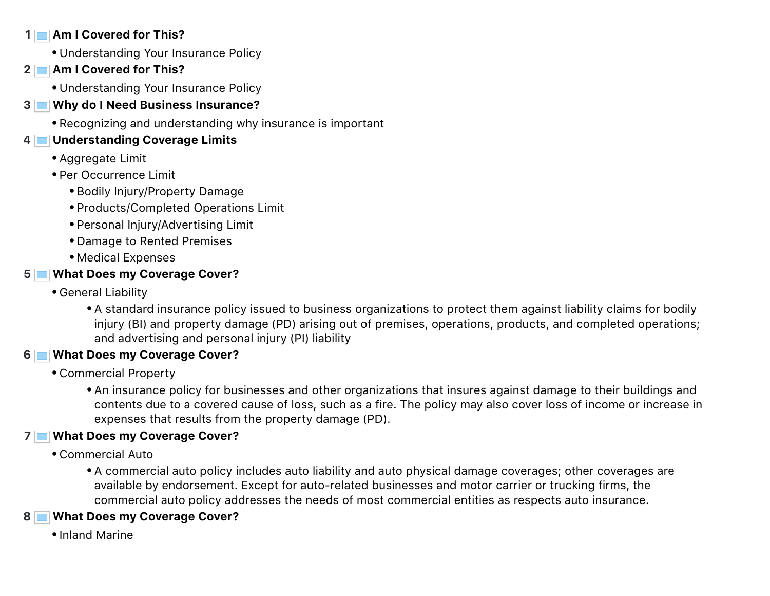#### **1 Am I Covered for This?**

- Understanding Your Insurance Policy
- **2 Am I Covered for This?**
	- Understanding Your Insurance Policy
- **3 Why do I Need Business Insurance?**
	- Recognizing and understanding why insurance is important

#### **4 Understanding Coverage Limits**

- Aggregate Limit
- Per Occurrence Limit
	- Bodily Injury/Property Damage
	- Products/Completed Operations Limit
	- Personal Injury/Advertising Limit
	- Damage to Rented Premises
	- Medical Expenses

## **5 What Does my Coverage Cover?**

- General Liability
	- A standard insurance policy issued to business organizations to protect them against liability claims for bodily injury (BI) and property damage (PD) arising out of premises, operations, products, and completed operations; and advertising and personal injury (PI) liability

# **6 What Does my Coverage Cover?**

- Commercial Property
	- An insurance policy for businesses and other organizations that insures against damage to their buildings and contents due to a covered cause of loss, such as a fire. The policy may also cover loss of income or increase in expenses that results from the property damage (PD).

# **7 What Does my Coverage Cover?**

- Commercial Auto
	- A commercial auto policy includes auto liability and auto physical damage coverages; other coverages are available by endorsement. Except for auto-related businesses and motor carrier or trucking firms, the commercial auto policy addresses the needs of most commercial entities as respects auto insurance.

# **8 What Does my Coverage Cover?**

• Inland Marine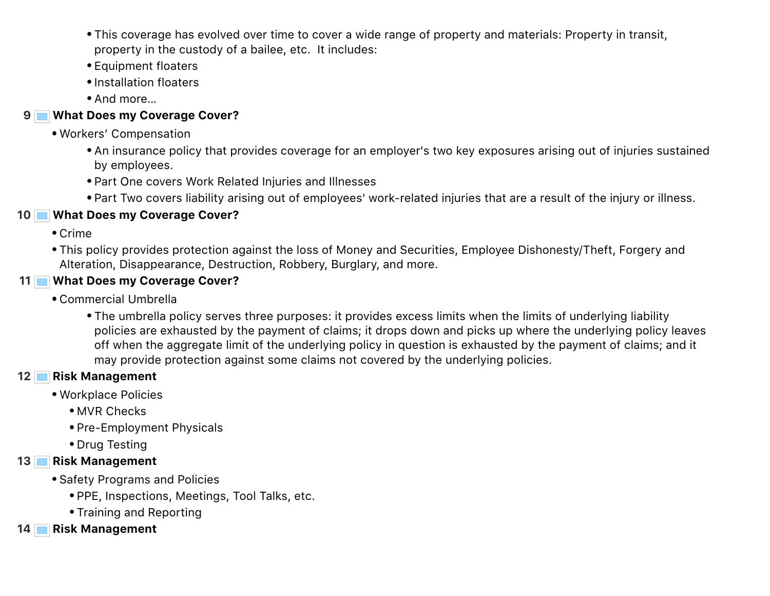- This coverage has evolved over time to cover a wide range of property and materials: Property in transit, property in the custody of a bailee, etc. It includes:
- Equipment floaters
- Installation floaters
- And more…

#### **9 What Does my Coverage Cover?**

- Workers' Compensation
	- An insurance policy that provides coverage for an employer's two key exposures arising out of injuries sustained by employees.
	- Part One covers Work Related Injuries and Illnesses
	- Part Two covers liability arising out of employees' work-related injuries that are a result of the injury or illness.

#### **10 What Does my Coverage Cover?**

- Crime
- This policy provides protection against the loss of Money and Securities, Employee Dishonesty/Theft, Forgery and Alteration, Disappearance, Destruction, Robbery, Burglary, and more.
- **11 What Does my Coverage Cover?**
	- Commercial Umbrella
		- The umbrella policy serves three purposes: it provides excess limits when the limits of underlying liability policies are exhausted by the payment of claims; it drops down and picks up where the underlying policy leaves off when the aggregate limit of the underlying policy in question is exhausted by the payment of claims; and it may provide protection against some claims not covered by the underlying policies.

### **12 Risk Management**

- Workplace Policies
	- MVR Checks
	- Pre-Employment Physicals
	- Drug Testing

#### **13 Risk Management**

- Safety Programs and Policies
	- PPE, Inspections, Meetings, Tool Talks, etc.
	- Training and Reporting
- **14 Risk Management**